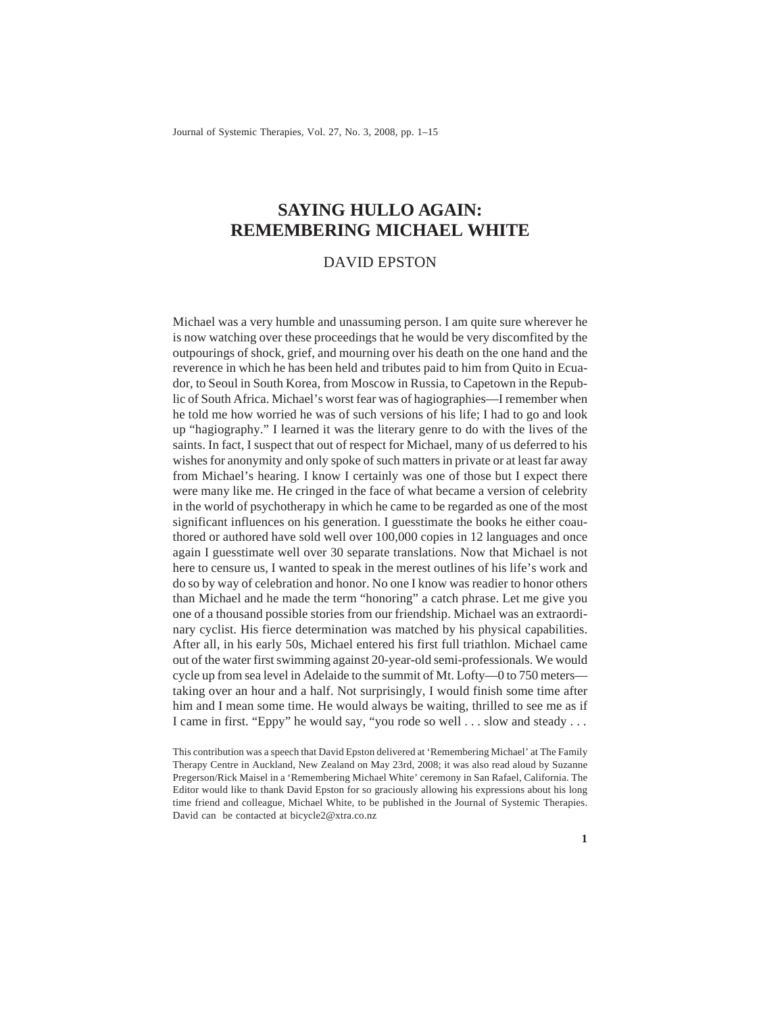Journal of Systemic Therapies, Vol. 27, No. 3, 2008, pp. 1–15

# **SAYING HULLO AGAIN: REMEMBERING MICHAEL WHITE**

# DAVID EPSTON

Michael was a very humble and unassuming person. I am quite sure wherever he is now watching over these proceedings that he would be very discomfited by the outpourings of shock, grief, and mourning over his death on the one hand and the reverence in which he has been held and tributes paid to him from Quito in Ecuador, to Seoul in South Korea, from Moscow in Russia, to Capetown in the Republic of South Africa. Michael's worst fear was of hagiographies—I remember when he told me how worried he was of such versions of his life; I had to go and look up "hagiography." I learned it was the literary genre to do with the lives of the saints. In fact, I suspect that out of respect for Michael, many of us deferred to his wishes for anonymity and only spoke of such matters in private or at least far away from Michael's hearing. I know I certainly was one of those but I expect there were many like me. He cringed in the face of what became a version of celebrity in the world of psychotherapy in which he came to be regarded as one of the most significant influences on his generation. I guesstimate the books he either coauthored or authored have sold well over 100,000 copies in 12 languages and once again I guesstimate well over 30 separate translations. Now that Michael is not here to censure us, I wanted to speak in the merest outlines of his life's work and do so by way of celebration and honor. No one I know was readier to honor others than Michael and he made the term "honoring" a catch phrase. Let me give you one of a thousand possible stories from our friendship. Michael was an extraordinary cyclist. His fierce determination was matched by his physical capabilities. After all, in his early 50s, Michael entered his first full triathlon. Michael came out of the water first swimming against 20-year-old semi-professionals. We would cycle up from sea level in Adelaide to the summit of Mt. Lofty—0 to 750 meters taking over an hour and a half. Not surprisingly, I would finish some time after him and I mean some time. He would always be waiting, thrilled to see me as if I came in first. "Eppy" he would say, "you rode so well . . . slow and steady . . .

This contribution was a speech that David Epston delivered at 'Remembering Michael' at The Family Therapy Centre in Auckland, New Zealand on May 23rd, 2008; it was also read aloud by Suzanne Pregerson/Rick Maisel in a 'Remembering Michael White' ceremony in San Rafael, California. The Editor would like to thank David Epston for so graciously allowing his expressions about his long time friend and colleague, Michael White, to be published in the Journal of Systemic Therapies. David can be contacted at bicycle2@xtra.co.nz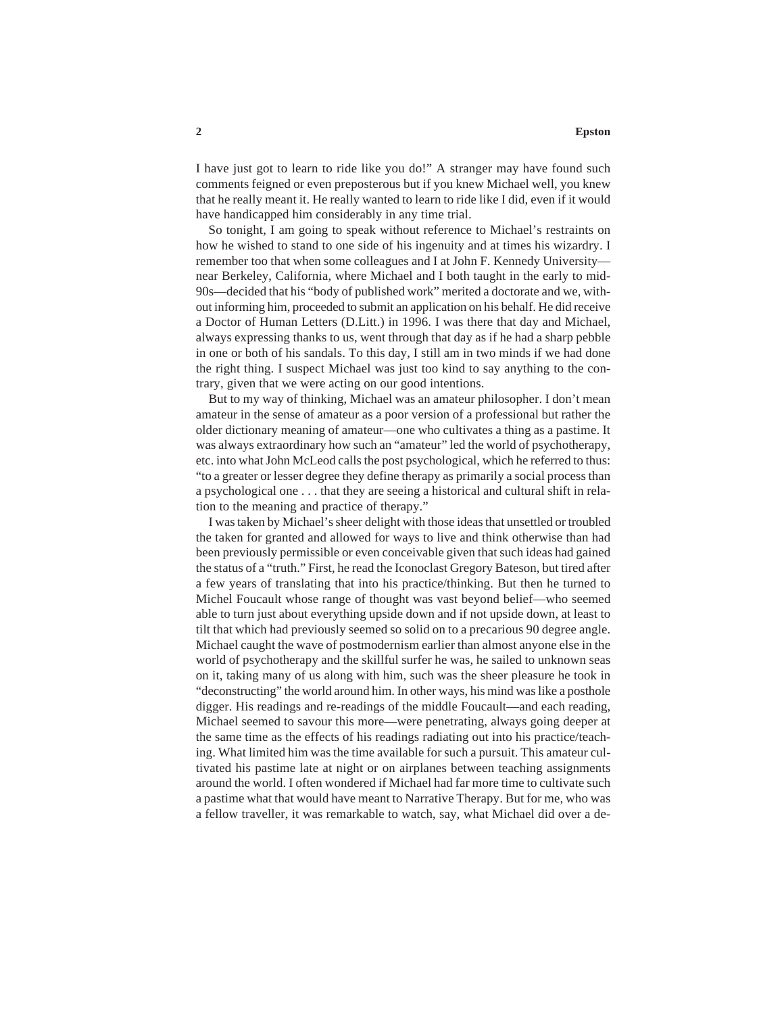I have just got to learn to ride like you do!" A stranger may have found such comments feigned or even preposterous but if you knew Michael well, you knew that he really meant it. He really wanted to learn to ride like I did, even if it would have handicapped him considerably in any time trial.

So tonight, I am going to speak without reference to Michael's restraints on how he wished to stand to one side of his ingenuity and at times his wizardry. I remember too that when some colleagues and I at John F. Kennedy University near Berkeley, California, where Michael and I both taught in the early to mid-90s—decided that his "body of published work" merited a doctorate and we, without informing him, proceeded to submit an application on his behalf. He did receive a Doctor of Human Letters (D.Litt.) in 1996. I was there that day and Michael, always expressing thanks to us, went through that day as if he had a sharp pebble in one or both of his sandals. To this day, I still am in two minds if we had done the right thing. I suspect Michael was just too kind to say anything to the contrary, given that we were acting on our good intentions.

But to my way of thinking, Michael was an amateur philosopher. I don't mean amateur in the sense of amateur as a poor version of a professional but rather the older dictionary meaning of amateur—one who cultivates a thing as a pastime. It was always extraordinary how such an "amateur" led the world of psychotherapy, etc. into what John McLeod calls the post psychological, which he referred to thus: "to a greater or lesser degree they define therapy as primarily a social process than a psychological one . . . that they are seeing a historical and cultural shift in relation to the meaning and practice of therapy."

I was taken by Michael's sheer delight with those ideas that unsettled or troubled the taken for granted and allowed for ways to live and think otherwise than had been previously permissible or even conceivable given that such ideas had gained the status of a "truth." First, he read the Iconoclast Gregory Bateson, but tired after a few years of translating that into his practice/thinking. But then he turned to Michel Foucault whose range of thought was vast beyond belief—who seemed able to turn just about everything upside down and if not upside down, at least to tilt that which had previously seemed so solid on to a precarious 90 degree angle. Michael caught the wave of postmodernism earlier than almost anyone else in the world of psychotherapy and the skillful surfer he was, he sailed to unknown seas on it, taking many of us along with him, such was the sheer pleasure he took in "deconstructing" the world around him. In other ways, his mind was like a posthole digger. His readings and re-readings of the middle Foucault—and each reading, Michael seemed to savour this more—were penetrating, always going deeper at the same time as the effects of his readings radiating out into his practice/teaching. What limited him was the time available for such a pursuit. This amateur cultivated his pastime late at night or on airplanes between teaching assignments around the world. I often wondered if Michael had far more time to cultivate such a pastime what that would have meant to Narrative Therapy. But for me, who was a fellow traveller, it was remarkable to watch, say, what Michael did over a de-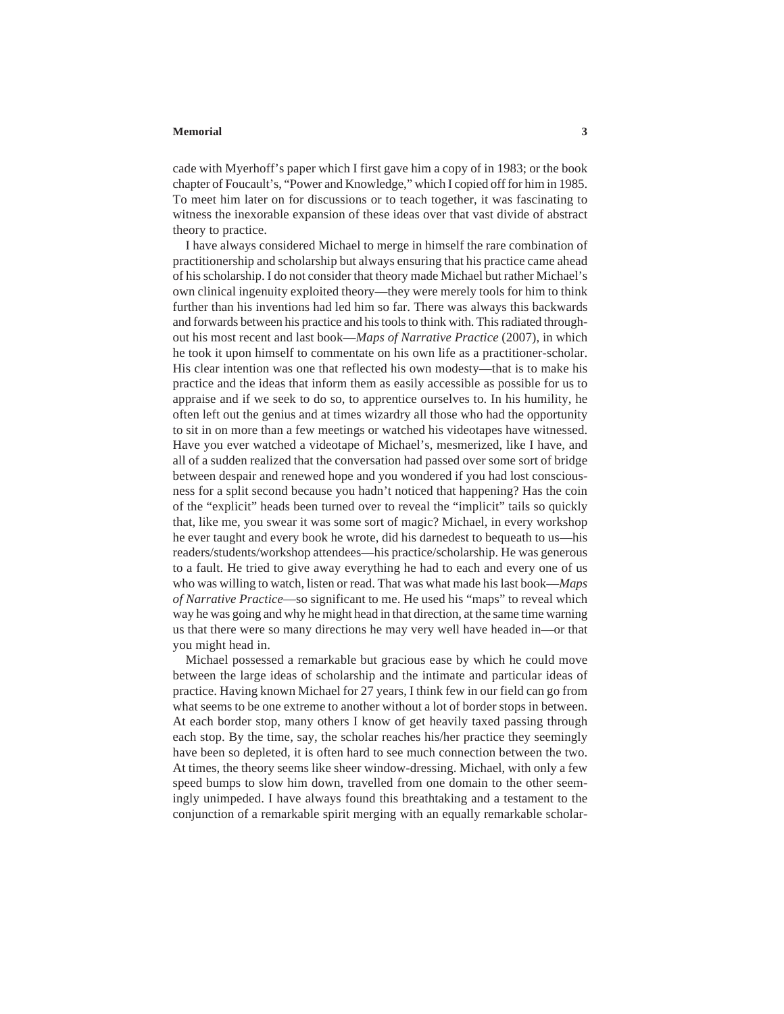cade with Myerhoff's paper which I first gave him a copy of in 1983; or the book chapter of Foucault's, "Power and Knowledge," which I copied off for him in 1985. To meet him later on for discussions or to teach together, it was fascinating to witness the inexorable expansion of these ideas over that vast divide of abstract theory to practice.

I have always considered Michael to merge in himself the rare combination of practitionership and scholarship but always ensuring that his practice came ahead of his scholarship. I do not consider that theory made Michael but rather Michael's own clinical ingenuity exploited theory—they were merely tools for him to think further than his inventions had led him so far. There was always this backwards and forwards between his practice and his tools to think with. This radiated throughout his most recent and last book—*Maps of Narrative Practice* (2007), in which he took it upon himself to commentate on his own life as a practitioner-scholar. His clear intention was one that reflected his own modesty—that is to make his practice and the ideas that inform them as easily accessible as possible for us to appraise and if we seek to do so, to apprentice ourselves to. In his humility, he often left out the genius and at times wizardry all those who had the opportunity to sit in on more than a few meetings or watched his videotapes have witnessed. Have you ever watched a videotape of Michael's, mesmerized, like I have, and all of a sudden realized that the conversation had passed over some sort of bridge between despair and renewed hope and you wondered if you had lost consciousness for a split second because you hadn't noticed that happening? Has the coin of the "explicit" heads been turned over to reveal the "implicit" tails so quickly that, like me, you swear it was some sort of magic? Michael, in every workshop he ever taught and every book he wrote, did his darnedest to bequeath to us—his readers/students/workshop attendees—his practice/scholarship. He was generous to a fault. He tried to give away everything he had to each and every one of us who was willing to watch, listen or read. That was what made his last book—*Maps of Narrative Practice*—so significant to me. He used his "maps" to reveal which way he was going and why he might head in that direction, at the same time warning us that there were so many directions he may very well have headed in—or that you might head in.

Michael possessed a remarkable but gracious ease by which he could move between the large ideas of scholarship and the intimate and particular ideas of practice. Having known Michael for 27 years, I think few in our field can go from what seems to be one extreme to another without a lot of border stops in between. At each border stop, many others I know of get heavily taxed passing through each stop. By the time, say, the scholar reaches his/her practice they seemingly have been so depleted, it is often hard to see much connection between the two. At times, the theory seems like sheer window-dressing. Michael, with only a few speed bumps to slow him down, travelled from one domain to the other seemingly unimpeded. I have always found this breathtaking and a testament to the conjunction of a remarkable spirit merging with an equally remarkable scholar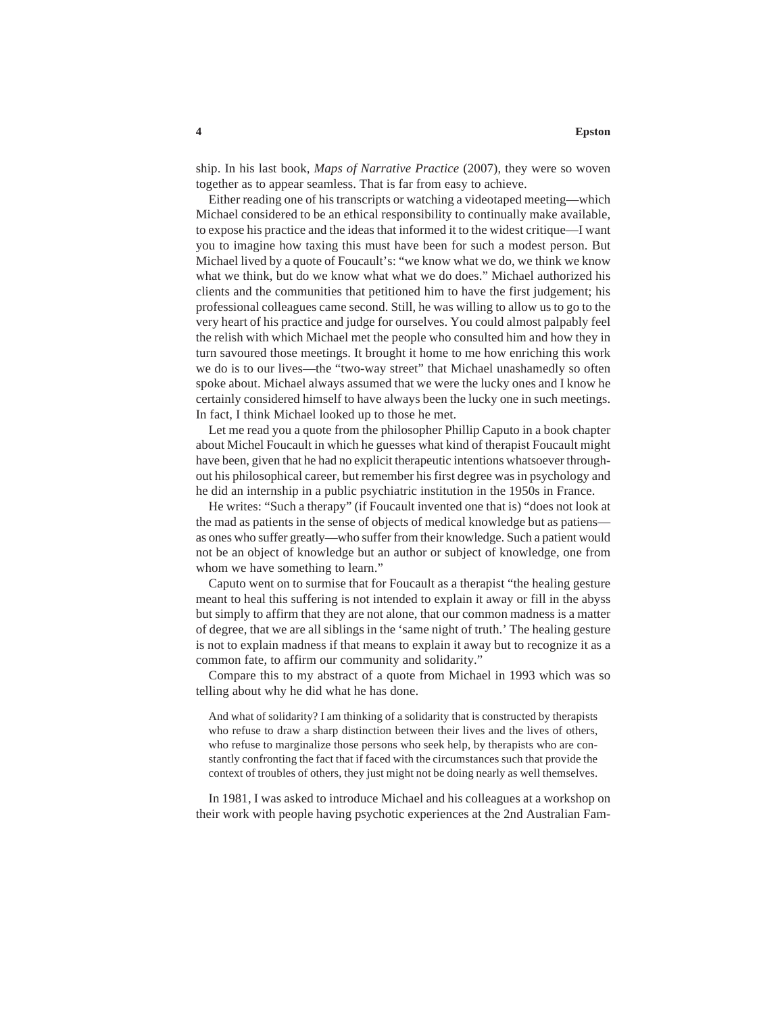ship. In his last book, *Maps of Narrative Practice* (2007), they were so woven together as to appear seamless. That is far from easy to achieve.

Either reading one of his transcripts or watching a videotaped meeting—which Michael considered to be an ethical responsibility to continually make available, to expose his practice and the ideas that informed it to the widest critique—I want you to imagine how taxing this must have been for such a modest person. But Michael lived by a quote of Foucault's: "we know what we do, we think we know what we think, but do we know what what we do does." Michael authorized his clients and the communities that petitioned him to have the first judgement; his professional colleagues came second. Still, he was willing to allow us to go to the very heart of his practice and judge for ourselves. You could almost palpably feel the relish with which Michael met the people who consulted him and how they in turn savoured those meetings. It brought it home to me how enriching this work we do is to our lives—the "two-way street" that Michael unashamedly so often spoke about. Michael always assumed that we were the lucky ones and I know he certainly considered himself to have always been the lucky one in such meetings. In fact, I think Michael looked up to those he met.

Let me read you a quote from the philosopher Phillip Caputo in a book chapter about Michel Foucault in which he guesses what kind of therapist Foucault might have been, given that he had no explicit therapeutic intentions whatsoever throughout his philosophical career, but remember his first degree was in psychology and he did an internship in a public psychiatric institution in the 1950s in France.

He writes: "Such a therapy" (if Foucault invented one that is) "does not look at the mad as patients in the sense of objects of medical knowledge but as patiens as ones who suffer greatly—who suffer from their knowledge. Such a patient would not be an object of knowledge but an author or subject of knowledge, one from whom we have something to learn."

Caputo went on to surmise that for Foucault as a therapist "the healing gesture meant to heal this suffering is not intended to explain it away or fill in the abyss but simply to affirm that they are not alone, that our common madness is a matter of degree, that we are all siblings in the 'same night of truth.' The healing gesture is not to explain madness if that means to explain it away but to recognize it as a common fate, to affirm our community and solidarity."

Compare this to my abstract of a quote from Michael in 1993 which was so telling about why he did what he has done.

And what of solidarity? I am thinking of a solidarity that is constructed by therapists who refuse to draw a sharp distinction between their lives and the lives of others, who refuse to marginalize those persons who seek help, by therapists who are constantly confronting the fact that if faced with the circumstances such that provide the context of troubles of others, they just might not be doing nearly as well themselves.

In 1981, I was asked to introduce Michael and his colleagues at a workshop on their work with people having psychotic experiences at the 2nd Australian Fam-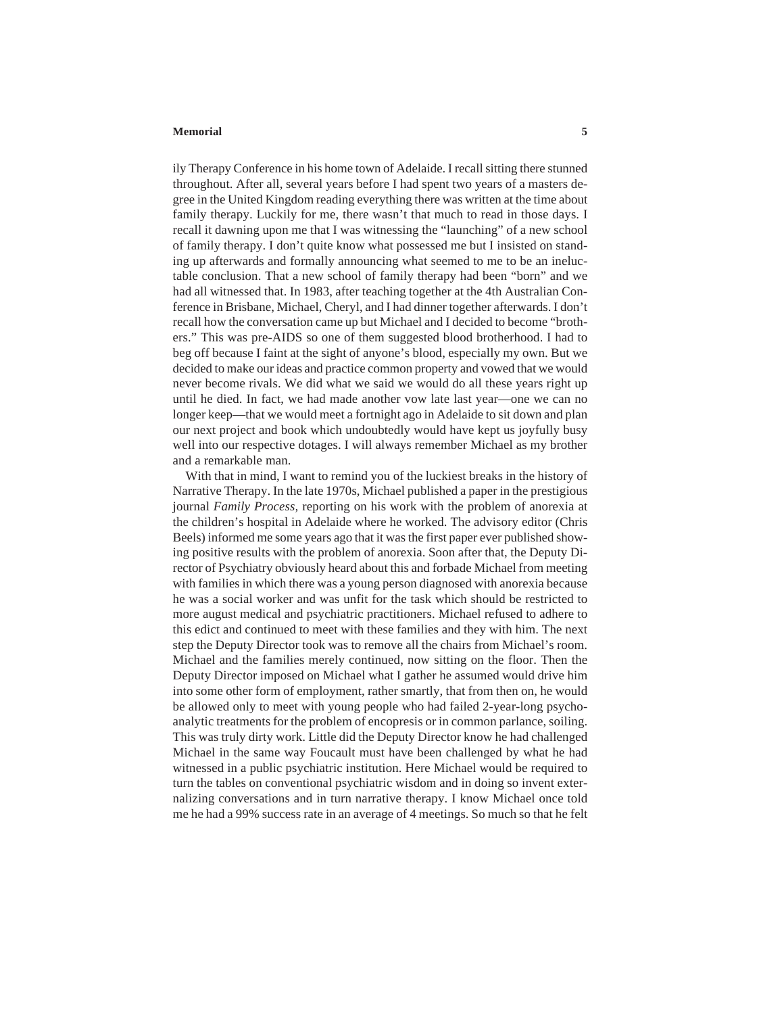ily Therapy Conference in his home town of Adelaide. I recall sitting there stunned throughout. After all, several years before I had spent two years of a masters degree in the United Kingdom reading everything there was written at the time about family therapy. Luckily for me, there wasn't that much to read in those days. I recall it dawning upon me that I was witnessing the "launching" of a new school of family therapy. I don't quite know what possessed me but I insisted on standing up afterwards and formally announcing what seemed to me to be an ineluctable conclusion. That a new school of family therapy had been "born" and we had all witnessed that. In 1983, after teaching together at the 4th Australian Conference in Brisbane, Michael, Cheryl, and I had dinner together afterwards. I don't recall how the conversation came up but Michael and I decided to become "brothers." This was pre-AIDS so one of them suggested blood brotherhood. I had to beg off because I faint at the sight of anyone's blood, especially my own. But we decided to make our ideas and practice common property and vowed that we would never become rivals. We did what we said we would do all these years right up until he died. In fact, we had made another vow late last year—one we can no longer keep—that we would meet a fortnight ago in Adelaide to sit down and plan our next project and book which undoubtedly would have kept us joyfully busy well into our respective dotages. I will always remember Michael as my brother and a remarkable man.

With that in mind, I want to remind you of the luckiest breaks in the history of Narrative Therapy. In the late 1970s, Michael published a paper in the prestigious journal *Family Process,* reporting on his work with the problem of anorexia at the children's hospital in Adelaide where he worked. The advisory editor (Chris Beels) informed me some years ago that it was the first paper ever published showing positive results with the problem of anorexia. Soon after that, the Deputy Director of Psychiatry obviously heard about this and forbade Michael from meeting with families in which there was a young person diagnosed with anorexia because he was a social worker and was unfit for the task which should be restricted to more august medical and psychiatric practitioners. Michael refused to adhere to this edict and continued to meet with these families and they with him. The next step the Deputy Director took was to remove all the chairs from Michael's room. Michael and the families merely continued, now sitting on the floor. Then the Deputy Director imposed on Michael what I gather he assumed would drive him into some other form of employment, rather smartly, that from then on, he would be allowed only to meet with young people who had failed 2-year-long psychoanalytic treatments for the problem of encopresis or in common parlance, soiling. This was truly dirty work. Little did the Deputy Director know he had challenged Michael in the same way Foucault must have been challenged by what he had witnessed in a public psychiatric institution. Here Michael would be required to turn the tables on conventional psychiatric wisdom and in doing so invent externalizing conversations and in turn narrative therapy. I know Michael once told me he had a 99% success rate in an average of 4 meetings. So much so that he felt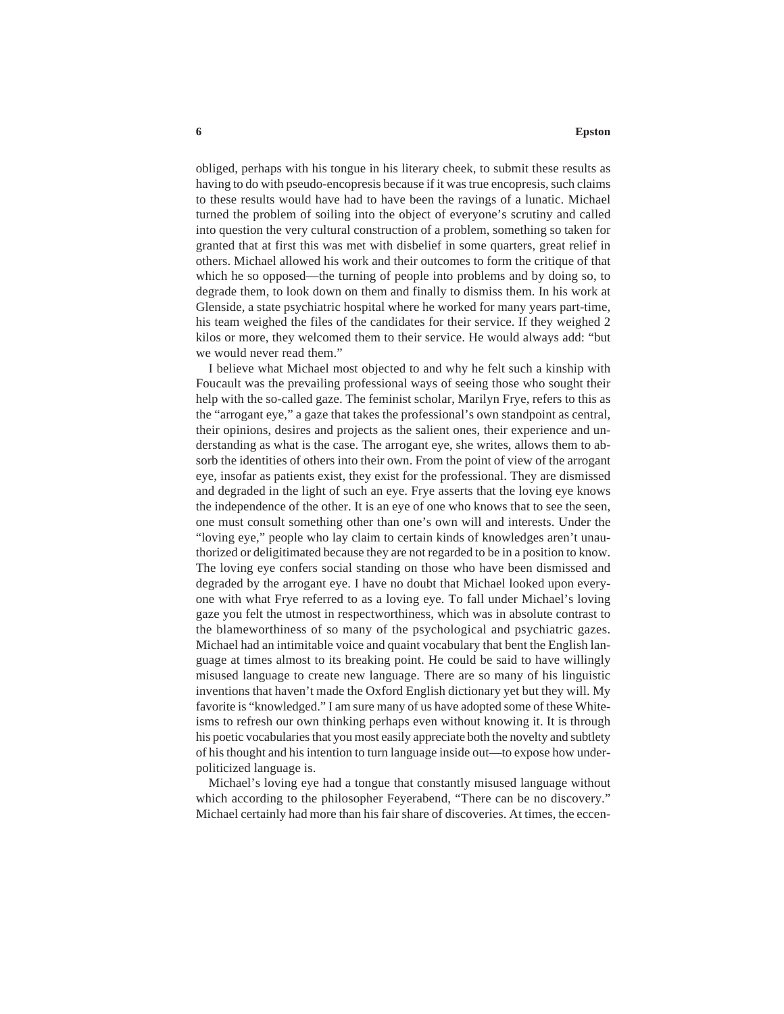obliged, perhaps with his tongue in his literary cheek, to submit these results as having to do with pseudo-encopresis because if it was true encopresis, such claims to these results would have had to have been the ravings of a lunatic. Michael turned the problem of soiling into the object of everyone's scrutiny and called into question the very cultural construction of a problem, something so taken for granted that at first this was met with disbelief in some quarters, great relief in others. Michael allowed his work and their outcomes to form the critique of that which he so opposed—the turning of people into problems and by doing so, to degrade them, to look down on them and finally to dismiss them. In his work at Glenside, a state psychiatric hospital where he worked for many years part-time, his team weighed the files of the candidates for their service. If they weighed 2 kilos or more, they welcomed them to their service. He would always add: "but we would never read them."

I believe what Michael most objected to and why he felt such a kinship with Foucault was the prevailing professional ways of seeing those who sought their help with the so-called gaze. The feminist scholar, Marilyn Frye, refers to this as the "arrogant eye," a gaze that takes the professional's own standpoint as central, their opinions, desires and projects as the salient ones, their experience and understanding as what is the case. The arrogant eye, she writes, allows them to absorb the identities of others into their own. From the point of view of the arrogant eye, insofar as patients exist, they exist for the professional. They are dismissed and degraded in the light of such an eye. Frye asserts that the loving eye knows the independence of the other. It is an eye of one who knows that to see the seen, one must consult something other than one's own will and interests. Under the "loving eye," people who lay claim to certain kinds of knowledges aren't unauthorized or deligitimated because they are not regarded to be in a position to know. The loving eye confers social standing on those who have been dismissed and degraded by the arrogant eye. I have no doubt that Michael looked upon everyone with what Frye referred to as a loving eye. To fall under Michael's loving gaze you felt the utmost in respectworthiness, which was in absolute contrast to the blameworthiness of so many of the psychological and psychiatric gazes. Michael had an intimitable voice and quaint vocabulary that bent the English language at times almost to its breaking point. He could be said to have willingly misused language to create new language. There are so many of his linguistic inventions that haven't made the Oxford English dictionary yet but they will. My favorite is "knowledged." I am sure many of us have adopted some of these Whiteisms to refresh our own thinking perhaps even without knowing it. It is through his poetic vocabularies that you most easily appreciate both the novelty and subtlety of his thought and his intention to turn language inside out—to expose how underpoliticized language is.

Michael's loving eye had a tongue that constantly misused language without which according to the philosopher Feyerabend, "There can be no discovery." Michael certainly had more than his fair share of discoveries. At times, the eccen-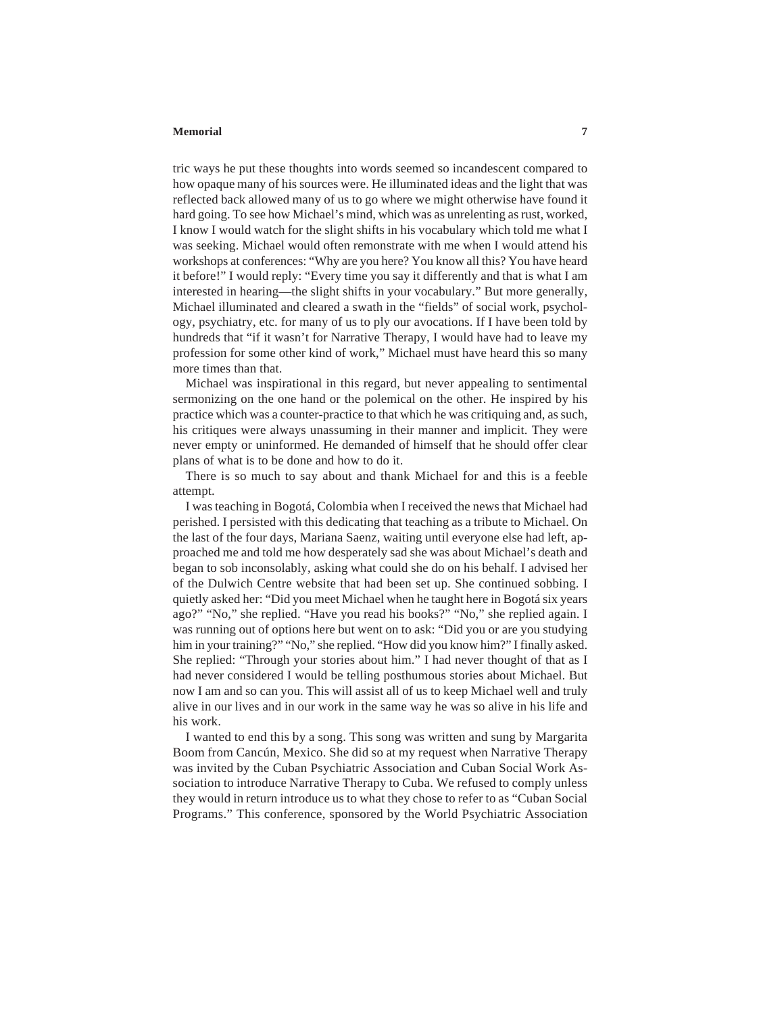tric ways he put these thoughts into words seemed so incandescent compared to how opaque many of his sources were. He illuminated ideas and the light that was reflected back allowed many of us to go where we might otherwise have found it hard going. To see how Michael's mind, which was as unrelenting as rust, worked, I know I would watch for the slight shifts in his vocabulary which told me what I was seeking. Michael would often remonstrate with me when I would attend his workshops at conferences: "Why are you here? You know all this? You have heard it before!" I would reply: "Every time you say it differently and that is what I am interested in hearing—the slight shifts in your vocabulary." But more generally, Michael illuminated and cleared a swath in the "fields" of social work, psychology, psychiatry, etc. for many of us to ply our avocations. If I have been told by hundreds that "if it wasn't for Narrative Therapy, I would have had to leave my profession for some other kind of work," Michael must have heard this so many more times than that.

Michael was inspirational in this regard, but never appealing to sentimental sermonizing on the one hand or the polemical on the other. He inspired by his practice which was a counter-practice to that which he was critiquing and, as such, his critiques were always unassuming in their manner and implicit. They were never empty or uninformed. He demanded of himself that he should offer clear plans of what is to be done and how to do it.

There is so much to say about and thank Michael for and this is a feeble attempt.

I was teaching in Bogotá, Colombia when I received the news that Michael had perished. I persisted with this dedicating that teaching as a tribute to Michael. On the last of the four days, Mariana Saenz, waiting until everyone else had left, approached me and told me how desperately sad she was about Michael's death and began to sob inconsolably, asking what could she do on his behalf. I advised her of the Dulwich Centre website that had been set up. She continued sobbing. I quietly asked her: "Did you meet Michael when he taught here in Bogotá six years ago?" "No," she replied. "Have you read his books?" "No," she replied again. I was running out of options here but went on to ask: "Did you or are you studying him in your training?" "No," she replied. "How did you know him?" I finally asked. She replied: "Through your stories about him." I had never thought of that as I had never considered I would be telling posthumous stories about Michael. But now I am and so can you. This will assist all of us to keep Michael well and truly alive in our lives and in our work in the same way he was so alive in his life and his work.

I wanted to end this by a song. This song was written and sung by Margarita Boom from Cancún, Mexico. She did so at my request when Narrative Therapy was invited by the Cuban Psychiatric Association and Cuban Social Work Association to introduce Narrative Therapy to Cuba. We refused to comply unless they would in return introduce us to what they chose to refer to as "Cuban Social Programs." This conference, sponsored by the World Psychiatric Association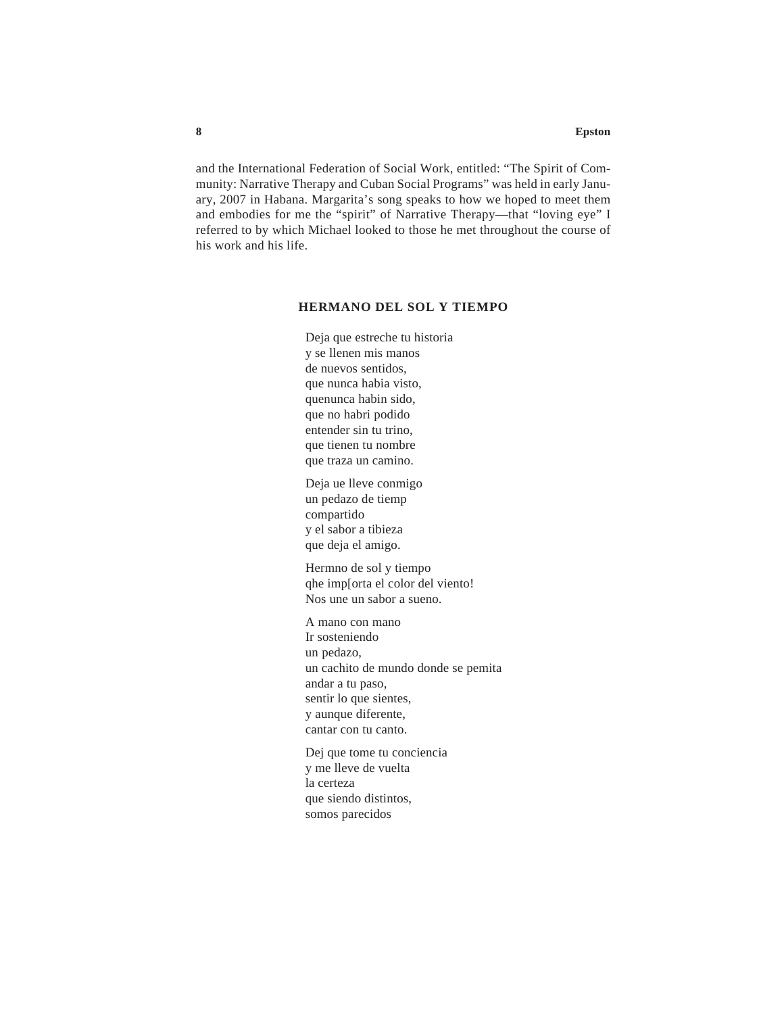and the International Federation of Social Work, entitled: "The Spirit of Community: Narrative Therapy and Cuban Social Programs" was held in early January, 2007 in Habana. Margarita's song speaks to how we hoped to meet them and embodies for me the "spirit" of Narrative Therapy—that "loving eye" I referred to by which Michael looked to those he met throughout the course of his work and his life.

### **HERMANO DEL SOL Y TIEMPO**

Deja que estreche tu historia y se llenen mis manos de nuevos sentidos, que nunca habia visto, quenunca habin sido, que no habri podido entender sin tu trino, que tienen tu nombre que traza un camino.

Deja ue lleve conmigo un pedazo de tiemp compartido y el sabor a tibieza que deja el amigo.

Hermno de sol y tiempo qhe imp[orta el color del viento! Nos une un sabor a sueno.

A mano con mano Ir sosteniendo un pedazo, un cachito de mundo donde se pemita andar a tu paso, sentir lo que sientes, y aunque diferente, cantar con tu canto.

Dej que tome tu conciencia y me lleve de vuelta la certeza que siendo distintos, somos parecidos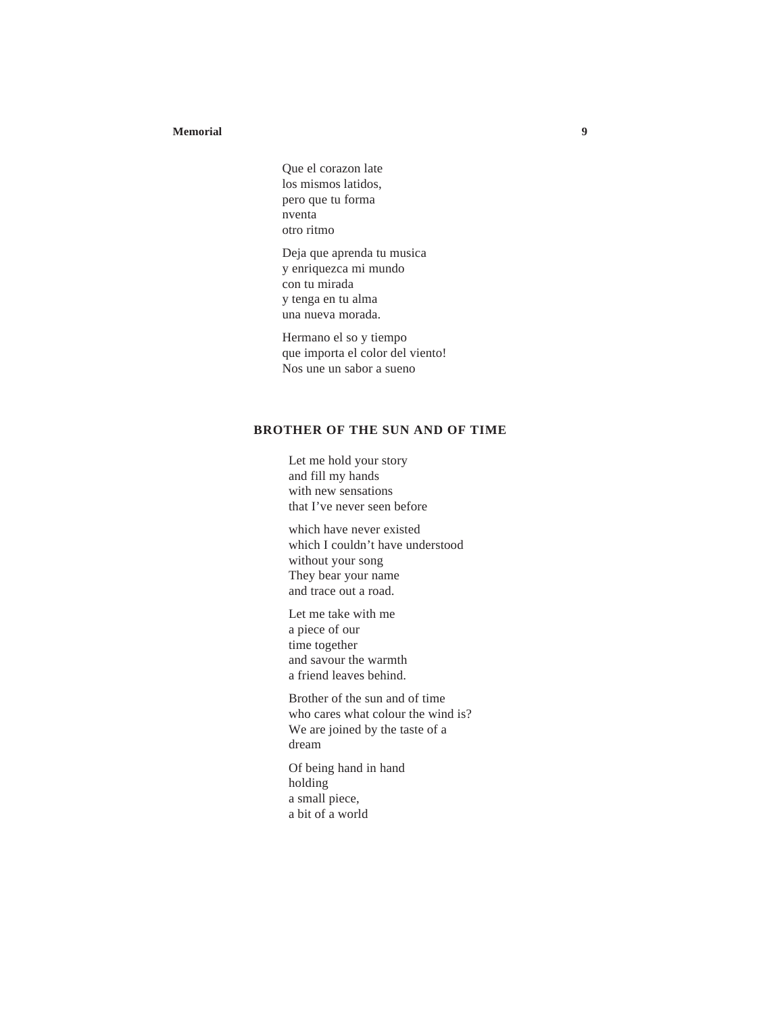Que el corazon late los mismos latidos, pero que tu forma nventa otro ritmo

Deja que aprenda tu musica y enriquezca mi mundo con tu mirada y tenga en tu alma una nueva morada.

Hermano el so y tiempo que importa el color del viento! Nos une un sabor a sueno

## **BROTHER OF THE SUN AND OF TIME**

Let me hold your story and fill my hands with new sensations that I've never seen before

which have never existed which I couldn't have understood without your song They bear your name and trace out a road.

Let me take with me a piece of our time together and savour the warmth a friend leaves behind.

Brother of the sun and of time who cares what colour the wind is? We are joined by the taste of a dream

Of being hand in hand holding a small piece, a bit of a world